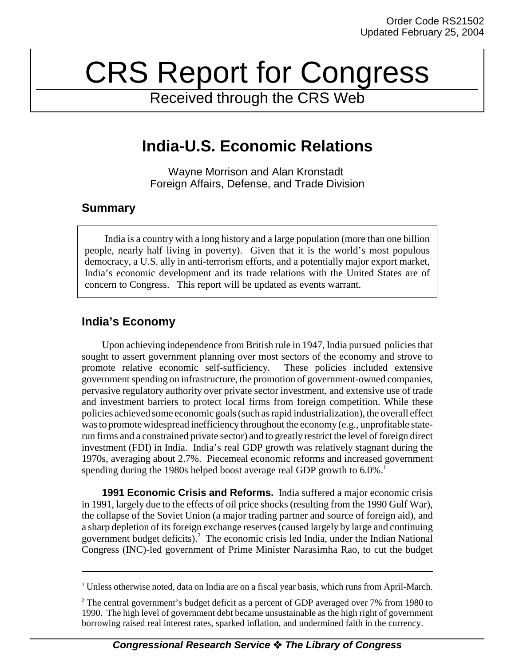# CRS Report for Congress

Received through the CRS Web

# **India-U.S. Economic Relations**

Wayne Morrison and Alan Kronstadt Foreign Affairs, Defense, and Trade Division

### **Summary**

India is a country with a long history and a large population (more than one billion people, nearly half living in poverty). Given that it is the world's most populous democracy, a U.S. ally in anti-terrorism efforts, and a potentially major export market, India's economic development and its trade relations with the United States are of concern to Congress. This report will be updated as events warrant.

## **India's Economy**

Upon achieving independence from British rule in 1947, India pursued policies that sought to assert government planning over most sectors of the economy and strove to promote relative economic self-sufficiency. These policies included extensive government spending on infrastructure, the promotion of government-owned companies, pervasive regulatory authority over private sector investment, and extensive use of trade and investment barriers to protect local firms from foreign competition. While these policies achieved some economic goals (such as rapid industrialization), the overall effect was to promote widespread inefficiency throughout the economy (e.g., unprofitable staterun firms and a constrained private sector) and to greatly restrict the level of foreign direct investment (FDI) in India. India's real GDP growth was relatively stagnant during the 1970s, averaging about 2.7%. Piecemeal economic reforms and increased government spending during the 1980s helped boost average real GDP growth to 6.0%.<sup>1</sup>

**1991 Economic Crisis and Reforms.** India suffered a major economic crisis in 1991, largely due to the effects of oil price shocks (resulting from the 1990 Gulf War), the collapse of the Soviet Union (a major trading partner and source of foreign aid), and a sharp depletion of its foreign exchange reserves (caused largely by large and continuing government budget deficits).<sup>2</sup> The economic crisis led India, under the Indian National Congress (INC)-led government of Prime Minister Narasimha Rao, to cut the budget

<sup>&</sup>lt;sup>1</sup> Unless otherwise noted, data on India are on a fiscal year basis, which runs from April-March.

 $2$  The central government's budget deficit as a percent of GDP averaged over 7% from 1980 to 1990. The high level of government debt became unsustainable as the high right of government borrowing raised real interest rates, sparked inflation, and undermined faith in the currency.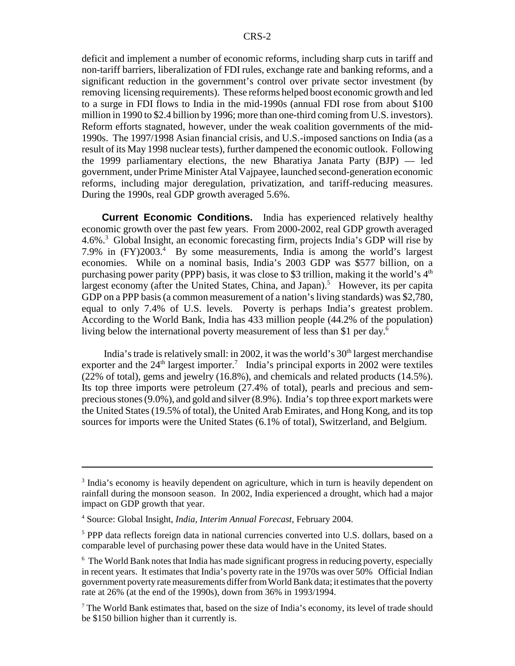deficit and implement a number of economic reforms, including sharp cuts in tariff and non-tariff barriers, liberalization of FDI rules, exchange rate and banking reforms, and a significant reduction in the government's control over private sector investment (by removing licensing requirements). These reforms helped boost economic growth and led to a surge in FDI flows to India in the mid-1990s (annual FDI rose from about \$100 million in 1990 to \$2.4 billion by 1996; more than one-third coming from U.S. investors). Reform efforts stagnated, however, under the weak coalition governments of the mid-1990s. The 1997/1998 Asian financial crisis, and U.S.-imposed sanctions on India (as a result of its May 1998 nuclear tests), further dampened the economic outlook. Following the 1999 parliamentary elections, the new Bharatiya Janata Party (BJP) — led government, under Prime Minister Atal Vajpayee, launched second-generation economic reforms, including major deregulation, privatization, and tariff-reducing measures. During the 1990s, real GDP growth averaged 5.6%.

**Current Economic Conditions.** India has experienced relatively healthy economic growth over the past few years. From 2000-2002, real GDP growth averaged 4.6%.<sup>3</sup> Global Insight, an economic forecasting firm, projects India's GDP will rise by 7.9% in (FY)2003.<sup>4</sup> By some measurements, India is among the world's largest economies. While on a nominal basis, India's 2003 GDP was \$577 billion, on a purchasing power parity (PPP) basis, it was close to \$3 trillion, making it the world's  $4<sup>th</sup>$ largest economy (after the United States, China, and Japan).<sup>5</sup> However, its per capita GDP on a PPP basis (a common measurement of a nation's living standards) was \$2,780, equal to only 7.4% of U.S. levels. Poverty is perhaps India's greatest problem. According to the World Bank, India has 433 million people (44.2% of the population) living below the international poverty measurement of less than \$1 per day.<sup>6</sup>

India's trade is relatively small: in 2002, it was the world's  $30<sup>th</sup>$  largest merchandise exporter and the  $24<sup>th</sup>$  largest importer.<sup>7</sup> India's principal exports in 2002 were textiles (22% of total), gems and jewelry (16.8%), and chemicals and related products (14.5%). Its top three imports were petroleum (27.4% of total), pearls and precious and semprecious stones (9.0%), and gold and silver (8.9%). India's top three export markets were the United States (19.5% of total), the United Arab Emirates, and Hong Kong, and its top sources for imports were the United States (6.1% of total), Switzerland, and Belgium.

<sup>&</sup>lt;sup>3</sup> India's economy is heavily dependent on agriculture, which in turn is heavily dependent on rainfall during the monsoon season. In 2002, India experienced a drought, which had a major impact on GDP growth that year.

<sup>4</sup> Source: Global Insight, *India, Interim Annual Forecast*, February 2004.

<sup>&</sup>lt;sup>5</sup> PPP data reflects foreign data in national currencies converted into U.S. dollars, based on a comparable level of purchasing power these data would have in the United States.

<sup>&</sup>lt;sup>6</sup> The World Bank notes that India has made significant progress in reducing poverty, especially in recent years. It estimates that India's poverty rate in the 1970s was over 50% Official Indian government poverty rate measurements differ from World Bank data; it estimates that the poverty rate at 26% (at the end of the 1990s), down from 36% in 1993/1994.

 $7$  The World Bank estimates that, based on the size of India's economy, its level of trade should be \$150 billion higher than it currently is.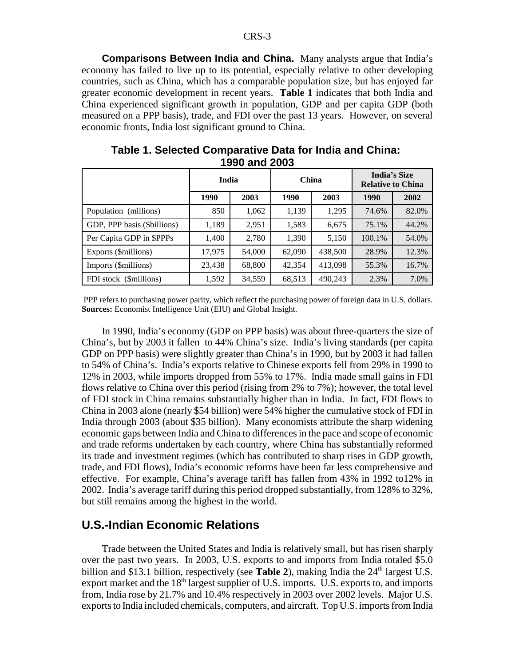**Comparisons Between India and China.** Many analysts argue that India's economy has failed to live up to its potential, especially relative to other developing countries, such as China, which has a comparable population size, but has enjoyed far greater economic development in recent years. **Table 1** indicates that both India and China experienced significant growth in population, GDP and per capita GDP (both measured on a PPP basis), trade, and FDI over the past 13 years. However, on several economic fronts, India lost significant ground to China.

|                             | India  |        | <b>China</b> |         | <b>India's Size</b><br><b>Relative to China</b> |       |
|-----------------------------|--------|--------|--------------|---------|-------------------------------------------------|-------|
|                             | 1990   | 2003   | 1990         | 2003    | 1990                                            | 2002  |
| Population (millions)       | 850    | 1,062  | 1,139        | 1,295   | 74.6%                                           | 82.0% |
| GDP, PPP basis (\$billions) | 1,189  | 2,951  | 1,583        | 6,675   | 75.1%                                           | 44.2% |
| Per Capita GDP in \$PPPs    | 1,400  | 2,780  | 1,390        | 5,150   | 100.1%                                          | 54.0% |
| Exports (\$millions)        | 17,975 | 54,000 | 62,090       | 438,500 | 28.9%                                           | 12.3% |
| Imports (\$millions)        | 23,438 | 68,800 | 42,354       | 413,098 | 55.3%                                           | 16.7% |
| FDI stock (\$millions)      | 1,592  | 34,559 | 68,513       | 490,243 | 2.3%                                            | 7.0%  |

**Table 1. Selected Comparative Data for India and China: 1990 and 2003**

 PPP refers to purchasing power parity, which reflect the purchasing power of foreign data in U.S. dollars. **Sources:** Economist Intelligence Unit (EIU) and Global Insight.

In 1990, India's economy (GDP on PPP basis) was about three-quarters the size of China's, but by 2003 it fallen to 44% China's size. India's living standards (per capita GDP on PPP basis) were slightly greater than China's in 1990, but by 2003 it had fallen to 54% of China's. India's exports relative to Chinese exports fell from 29% in 1990 to 12% in 2003, while imports dropped from 55% to 17%. India made small gains in FDI flows relative to China over this period (rising from 2% to 7%); however, the total level of FDI stock in China remains substantially higher than in India. In fact, FDI flows to China in 2003 alone (nearly \$54 billion) were 54% higher the cumulative stock of FDI in India through 2003 (about \$35 billion). Many economists attribute the sharp widening economic gaps between India and China to differences in the pace and scope of economic and trade reforms undertaken by each country, where China has substantially reformed its trade and investment regimes (which has contributed to sharp rises in GDP growth, trade, and FDI flows), India's economic reforms have been far less comprehensive and effective. For example, China's average tariff has fallen from 43% in 1992 to12% in 2002. India's average tariff during this period dropped substantially, from 128% to 32%, but still remains among the highest in the world.

#### **U.S.-Indian Economic Relations**

Trade between the United States and India is relatively small, but has risen sharply over the past two years. In 2003, U.S. exports to and imports from India totaled \$5.0 billion and \$13.1 billion, respectively (see **Table 2**), making India the 24<sup>th</sup> largest U.S. export market and the 18<sup>th</sup> largest supplier of U.S. imports. U.S. exports to, and imports from, India rose by 21.7% and 10.4% respectively in 2003 over 2002 levels. Major U.S. exports to India included chemicals, computers, and aircraft. Top U.S. imports from India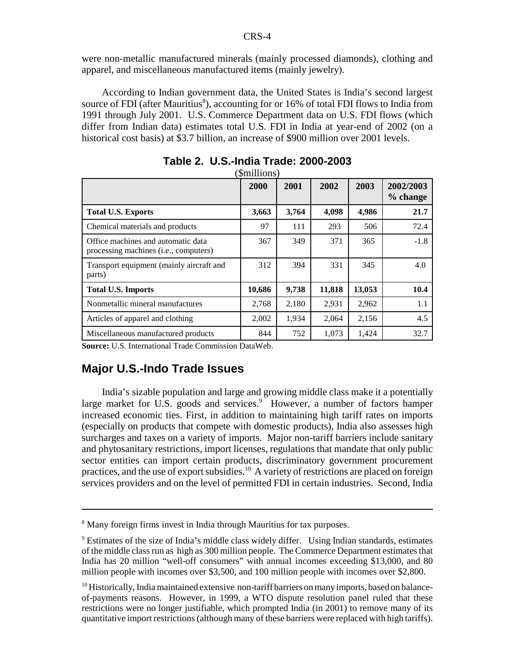were non-metallic manufactured minerals (mainly processed diamonds), clothing and apparel, and miscellaneous manufactured items (mainly jewelry).

According to Indian government data, the United States is India's second largest source of FDI (after Mauritius<sup>8</sup>), accounting for or 16% of total FDI flows to India from 1991 through July 2001. U.S. Commerce Department data on U.S. FDI flows (which differ from Indian data) estimates total U.S. FDI in India at year-end of 2002 (on a historical cost basis) at \$3.7 billion, an increase of \$900 million over 2001 levels.

|                                                                                      | 2000   | 2001  | 2002   | 2003   | 2002/2003<br>% change |
|--------------------------------------------------------------------------------------|--------|-------|--------|--------|-----------------------|
| <b>Total U.S. Exports</b>                                                            | 3,663  | 3,764 | 4,098  | 4,986  | 21.7                  |
| Chemical materials and products                                                      | 97     | 111   | 293    | 506    | 72.4                  |
| Office machines and automatic data<br>processing machines ( <i>i.e.</i> , computers) | 367    | 349   | 371    | 365    | $-1.8$                |
| Transport equipment (mainly aircraft and<br>parts)                                   | 312    | 394   | 331    | 345    | 4.0                   |
| <b>Total U.S. Imports</b>                                                            | 10,686 | 9,738 | 11,818 | 13,053 | 10.4                  |
| Nonmetallic mineral manufactures                                                     | 2,768  | 2,180 | 2,931  | 2,962  | 1.1                   |
| Articles of apparel and clothing                                                     | 2,002  | 1,934 | 2,064  | 2,156  | 4.5                   |
| Miscellaneous manufactured products                                                  | 844    | 752   | 1.073  | 1,424  | 32.7                  |

**Table 2. U.S.-India Trade: 2000-2003**  $(\Phi_{\text{max}})$ 

**Source:** U.S. International Trade Commission DataWeb.

#### **Major U.S.-Indo Trade Issues**

India's sizable population and large and growing middle class make it a potentially large market for U.S. goods and services.<sup>9</sup> However, a number of factors hamper increased economic ties. First, in addition to maintaining high tariff rates on imports (especially on products that compete with domestic products), India also assesses high surcharges and taxes on a variety of imports. Major non-tariff barriers include sanitary and phytosanitary restrictions, import licenses, regulations that mandate that only public sector entities can import certain products, discriminatory government procurement practices, and the use of export subsidies.<sup>10</sup> A variety of restrictions are placed on foreign services providers and on the level of permitted FDI in certain industries. Second, India

<sup>&</sup>lt;sup>8</sup> Many foreign firms invest in India through Mauritius for tax purposes.

<sup>&</sup>lt;sup>9</sup> Estimates of the size of India's middle class widely differ. Using Indian standards, estimates of the middle class run as high as 300 million people. The Commerce Department estimates that India has 20 million "well-off consumers" with annual incomes exceeding \$13,000, and 80 million people with incomes over \$3,500, and 100 million people with incomes over \$2,800.

<sup>&</sup>lt;sup>10</sup> Historically, India maintained extensive non-tariff barriers on many imports, based on balanceof-payments reasons. However, in 1999, a WTO dispute resolution panel ruled that these restrictions were no longer justifiable, which prompted India (in 2001) to remove many of its quantitative import restrictions (although many of these barriers were replaced with high tariffs).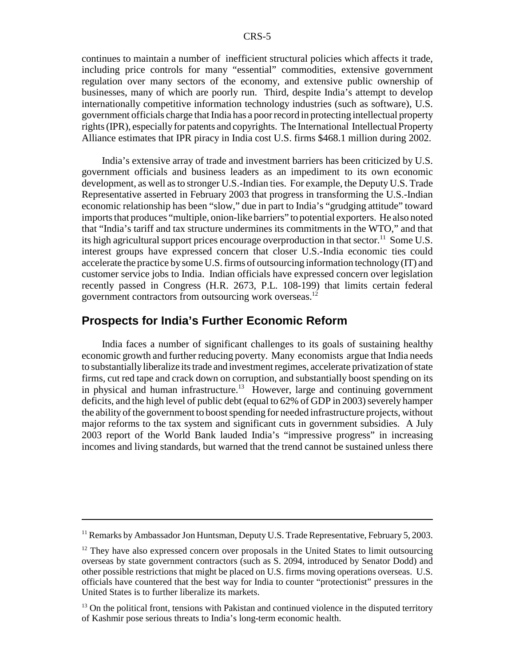continues to maintain a number of inefficient structural policies which affects it trade, including price controls for many "essential" commodities, extensive government regulation over many sectors of the economy, and extensive public ownership of businesses, many of which are poorly run. Third, despite India's attempt to develop internationally competitive information technology industries (such as software), U.S. government officials charge that India has a poor record in protecting intellectual property rights (IPR), especially for patents and copyrights. The International Intellectual Property Alliance estimates that IPR piracy in India cost U.S. firms \$468.1 million during 2002.

India's extensive array of trade and investment barriers has been criticized by U.S. government officials and business leaders as an impediment to its own economic development, as well as to stronger U.S.-Indian ties. For example, the Deputy U.S. Trade Representative asserted in February 2003 that progress in transforming the U.S.-Indian economic relationship has been "slow," due in part to India's "grudging attitude" toward imports that produces "multiple, onion-like barriers" to potential exporters. He also noted that "India's tariff and tax structure undermines its commitments in the WTO," and that its high agricultural support prices encourage overproduction in that sector.<sup>11</sup> Some U.S. interest groups have expressed concern that closer U.S.-India economic ties could accelerate the practice by some U.S. firms of outsourcing information technology (IT) and customer service jobs to India. Indian officials have expressed concern over legislation recently passed in Congress (H.R. 2673, P.L. 108-199) that limits certain federal government contractors from outsourcing work overseas.12

#### **Prospects for India's Further Economic Reform**

India faces a number of significant challenges to its goals of sustaining healthy economic growth and further reducing poverty. Many economists argue that India needs to substantially liberalize its trade and investment regimes, accelerate privatization of state firms, cut red tape and crack down on corruption, and substantially boost spending on its in physical and human infrastructure.<sup>13</sup> However, large and continuing government deficits, and the high level of public debt (equal to 62% of GDP in 2003) severely hamper the ability of the government to boost spending for needed infrastructure projects, without major reforms to the tax system and significant cuts in government subsidies. A July 2003 report of the World Bank lauded India's "impressive progress" in increasing incomes and living standards, but warned that the trend cannot be sustained unless there

<sup>&</sup>lt;sup>11</sup> Remarks by Ambassador Jon Huntsman, Deputy U.S. Trade Representative, February 5, 2003.

<sup>&</sup>lt;sup>12</sup> They have also expressed concern over proposals in the United States to limit outsourcing overseas by state government contractors (such as S. 2094, introduced by Senator Dodd) and other possible restrictions that might be placed on U.S. firms moving operations overseas. U.S. officials have countered that the best way for India to counter "protectionist" pressures in the United States is to further liberalize its markets.

 $<sup>13</sup>$  On the political front, tensions with Pakistan and continued violence in the disputed territory</sup> of Kashmir pose serious threats to India's long-term economic health.